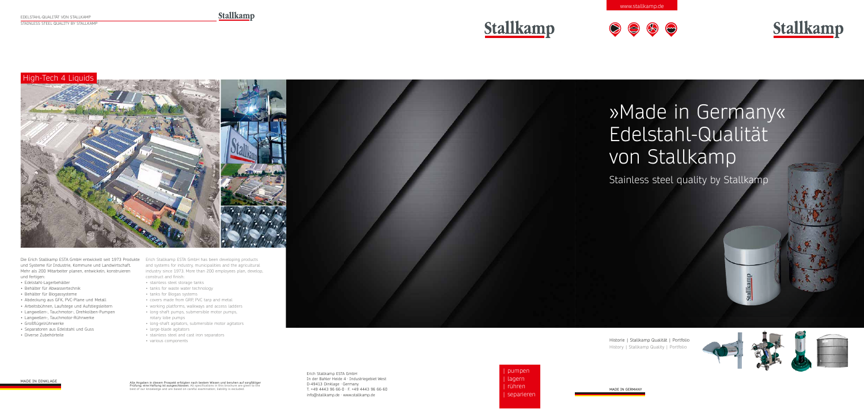# »Made in Germany« Edelstahl-Qualität von Stallkamp Stainless steel quality by Stallkamp Stallkamp

Historie | Stallkamp Qualität | Portfolio History | Stallkamp Quality | Portfolio



# High-Tech 4 Liquids



| pumpen | lagern | rühren | separieren

Die Erich Stallkamp ESTA GmbH entwickelt seit 1973 Produkte Erich Stallkamp ESTA GmbH has been developing products und Systeme für Industrie, Kommune und Landwirtschaft. Mehr als 200 Mitarbeiter planen, entwickeln, konstruieren und fertigen:

> Erich Stallkamp ESTA GmbH In der Bahler Heide 4 · Industriegebiet West D-49413 Dinklage · Germany T. +49 4443 96 66-0 · F. +49 4443 96 66-60 info@stallkamp.de · www.stallkamp.de

- Edelstahl-Lagerbehälter
- Behälter für Abwassertechnik
- Behälter für Biogassysteme
- Abdeckung aus GFK, PVC-Plane und Metall
- Arbeitsbühnen, Laufstege und Aufstiegsleitern
- Langwellen-, Tauchmotor-, Drehkolben-Pumpen
- Langwellen-, Tauchmotor-Rührwerke
- Großflügelrührwerke
- Separatoren aus Edelstahl und Guss
- Diverse Zubehörteile

Alle Angaben in diesem Prospekt erfolgten nach bestem Wissen und beruhen auf sorgfältiger **Prüfung; eine Haftung ist ausgeschlossen.** All specifications in this brochure are given to the<br>best of our knowledge and are based on careful examination; liability is excluded.



and systems for industry, municipalities and the agricultural industry since 1973. More than 200 employees plan, develop, construct and finish:

- stainless steel storage tanks
- tanks for waste water technology
- tanks for Biogas systems
- covers made from GRP, PVC tarp and metal
- working platforms, walkways and access ladders
- long-shaft pumps, submersible motor pumps, rotary lobe pumps
- long-shaft agitators, submersible motor agitators
- large-blade agitators
- stainless steel and cast iron separators
- various components

MADE IN DINKLAGE

www.stallkamp.de





MADE IN GERMANY